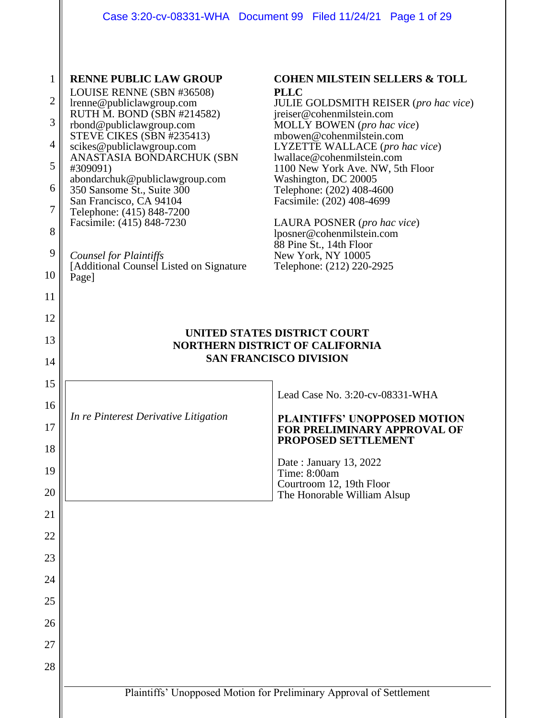| 1              | <b>RENNE PUBLIC LAW GROUP</b>                                                                           | <b>COHEN MILSTEIN SELLERS &amp; TOLL</b>                            |  |  |
|----------------|---------------------------------------------------------------------------------------------------------|---------------------------------------------------------------------|--|--|
| $\overline{c}$ | LOUISE RENNE (SBN #36508)<br>lrenne@publiclawgroup.com                                                  | <b>PLLC</b><br><b>JULIE GOLDSMITH REISER</b> (pro hac vice)         |  |  |
| 3              | RUTH M. BOND (SBN #214582)<br>rbond@publiclawgroup.com                                                  | jreiser@cohenmilstein.com<br>MOLLY BOWEN (pro hac vice)             |  |  |
| 4              | STEVE CIKES (SBN #235413)                                                                               | mbowen@cohenmilstein.com                                            |  |  |
| 5              | scikes@publiclawgroup.com<br>ANASTASIA BONDARCHUK (SBN                                                  | LYZETTE WALLACE (pro hac vice)<br>lwallace@cohenmilstein.com        |  |  |
|                | #309091)<br>abondarchuk@publiclawgroup.com                                                              | 1100 New York Ave. NW, 5th Floor<br>Washington, DC 20005            |  |  |
| 6              | 350 Sansome St., Suite 300<br>San Francisco, CA 94104                                                   | Telephone: (202) 408-4600<br>Facsimile: (202) 408-4699              |  |  |
| 7              | Telephone: (415) 848-7200<br>Facsimile: (415) 848-7230                                                  | LAURA POSNER (pro hac vice)                                         |  |  |
| 8              |                                                                                                         | lposner@cohenmilstein.com<br>88 Pine St., 14th Floor                |  |  |
| 9              | <b>Counsel for Plaintiffs</b><br>[Additional Counsel Listed on Signature]                               | New York, NY 10005<br>Telephone: (212) 220-2925                     |  |  |
| 10             | Page]                                                                                                   |                                                                     |  |  |
| 11             |                                                                                                         |                                                                     |  |  |
| 12             |                                                                                                         |                                                                     |  |  |
| 13             | UNITED STATES DISTRICT COURT<br><b>NORTHERN DISTRICT OF CALIFORNIA</b><br><b>SAN FRANCISCO DIVISION</b> |                                                                     |  |  |
| 14             |                                                                                                         |                                                                     |  |  |
| 15             |                                                                                                         |                                                                     |  |  |
| 16             |                                                                                                         | Lead Case No. 3:20-cv-08331-WHA                                     |  |  |
| 17             | In re Pinterest Derivative Litigation                                                                   | <b>PLAINTIFFS' UNOPPOSED MOTION</b><br>FOR PRELIMINARY APPROVAL OF  |  |  |
| 18             |                                                                                                         | <b>PROPOSED SETTLEMENT</b>                                          |  |  |
| 19             |                                                                                                         | Date: January 13, 2022<br>Time: 8:00am                              |  |  |
| 20             |                                                                                                         | Courtroom 12, 19th Floor<br>The Honorable William Alsup             |  |  |
| 21             |                                                                                                         |                                                                     |  |  |
| 22             |                                                                                                         |                                                                     |  |  |
| 23             |                                                                                                         |                                                                     |  |  |
| 24             |                                                                                                         |                                                                     |  |  |
|                |                                                                                                         |                                                                     |  |  |
| 25             |                                                                                                         |                                                                     |  |  |
| 26             |                                                                                                         |                                                                     |  |  |
| 27             |                                                                                                         |                                                                     |  |  |
| 28             |                                                                                                         |                                                                     |  |  |
|                |                                                                                                         | Plaintiffs' Unopposed Motion for Preliminary Approval of Settlement |  |  |
|                |                                                                                                         |                                                                     |  |  |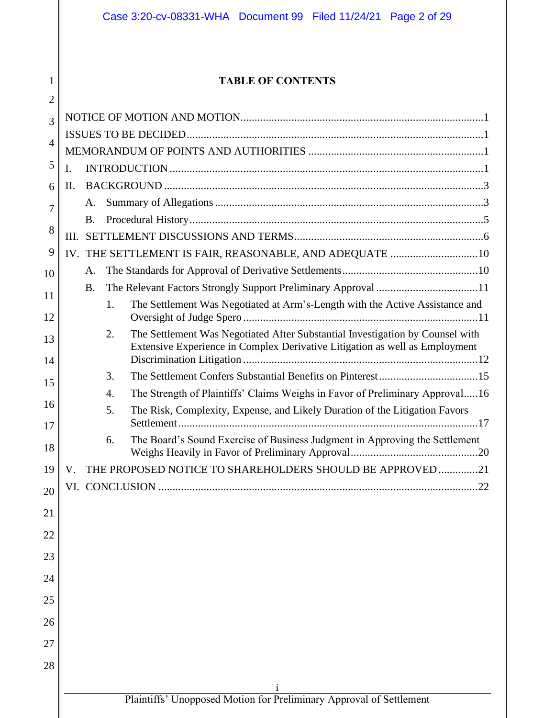## **TABLE OF CONTENTS**

| 2        |     |           |                                                                                                                                                                    |  |
|----------|-----|-----------|--------------------------------------------------------------------------------------------------------------------------------------------------------------------|--|
| 3        |     |           |                                                                                                                                                                    |  |
| 4        |     |           |                                                                                                                                                                    |  |
| 5        |     |           |                                                                                                                                                                    |  |
|          | I.  |           |                                                                                                                                                                    |  |
| 6        | П.  | A.        |                                                                                                                                                                    |  |
| 7        |     | <b>B.</b> |                                                                                                                                                                    |  |
| 8        | HI. |           |                                                                                                                                                                    |  |
| 9        |     |           | IV. THE SETTLEMENT IS FAIR, REASONABLE, AND ADEQUATE  10                                                                                                           |  |
| 10       |     | A.        |                                                                                                                                                                    |  |
| 11       |     | <b>B.</b> | The Relevant Factors Strongly Support Preliminary Approval 11                                                                                                      |  |
| 12       |     |           | The Settlement Was Negotiated at Arm's-Length with the Active Assistance and<br>1.                                                                                 |  |
| 13<br>14 |     |           | 2.<br>The Settlement Was Negotiated After Substantial Investigation by Counsel with<br>Extensive Experience in Complex Derivative Litigation as well as Employment |  |
|          |     |           | 3.                                                                                                                                                                 |  |
| 15       |     |           | The Strength of Plaintiffs' Claims Weighs in Favor of Preliminary Approval16<br>$\mathbf{4}$ .                                                                     |  |
| 16       |     |           | The Risk, Complexity, Expense, and Likely Duration of the Litigation Favors<br>5.                                                                                  |  |
| 17<br>18 |     |           | The Board's Sound Exercise of Business Judgment in Approving the Settlement<br>6.                                                                                  |  |
| 19       | V.  |           | THE PROPOSED NOTICE TO SHAREHOLDERS SHOULD BE APPROVED21                                                                                                           |  |
| 20       |     |           |                                                                                                                                                                    |  |
| 21       |     |           |                                                                                                                                                                    |  |
| 22       |     |           |                                                                                                                                                                    |  |
|          |     |           |                                                                                                                                                                    |  |
| 23<br>24 |     |           |                                                                                                                                                                    |  |
|          |     |           |                                                                                                                                                                    |  |
| 25       |     |           |                                                                                                                                                                    |  |
| 26       |     |           |                                                                                                                                                                    |  |
| 27       |     |           |                                                                                                                                                                    |  |
| 28       |     |           |                                                                                                                                                                    |  |
|          |     |           |                                                                                                                                                                    |  |
|          |     |           | Plaintiffs' Unopposed Motion for Preliminary Approval of Settlement                                                                                                |  |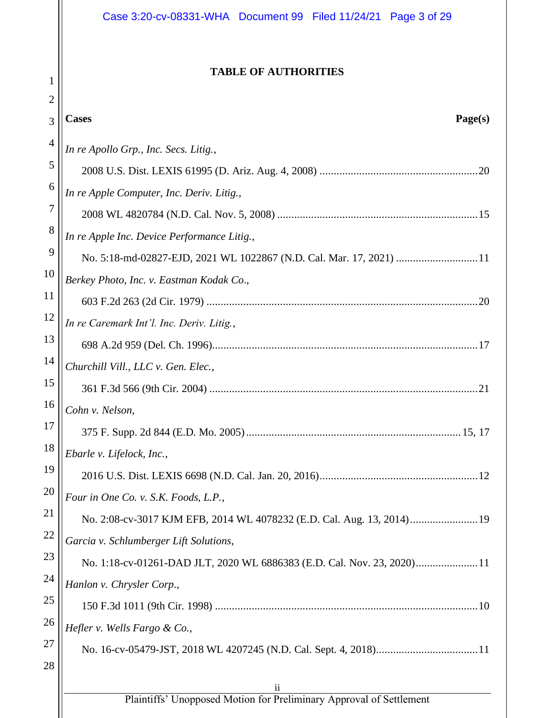## **TABLE OF AUTHORITIES**

| $\overline{2}$ |                                                                                                |  |  |
|----------------|------------------------------------------------------------------------------------------------|--|--|
| 3              | Page(s)<br><b>Cases</b>                                                                        |  |  |
| $\overline{4}$ | In re Apollo Grp., Inc. Secs. Litig.,                                                          |  |  |
| 5              |                                                                                                |  |  |
| 6              | In re Apple Computer, Inc. Deriv. Litig.,                                                      |  |  |
| 7              |                                                                                                |  |  |
| 8              | In re Apple Inc. Device Performance Litig.,                                                    |  |  |
| 9              | No. 5:18-md-02827-EJD, 2021 WL 1022867 (N.D. Cal. Mar. 17, 2021) 11                            |  |  |
| 10             | Berkey Photo, Inc. v. Eastman Kodak Co.,                                                       |  |  |
| 11             |                                                                                                |  |  |
| 12             | In re Caremark Int'l. Inc. Deriv. Litig.,                                                      |  |  |
| 13             |                                                                                                |  |  |
| 14             | Churchill Vill., LLC v. Gen. Elec.,                                                            |  |  |
| 15             |                                                                                                |  |  |
| 16             | Cohn v. Nelson,                                                                                |  |  |
| 17             |                                                                                                |  |  |
| 18             | Ebarle v. Lifelock, Inc.,                                                                      |  |  |
| 19             |                                                                                                |  |  |
| 20             | Four in One Co. v. S.K. Foods, L.P.,                                                           |  |  |
| 21             | No. 2:08-cv-3017 KJM EFB, 2014 WL 4078232 (E.D. Cal. Aug. 13, 2014) 19                         |  |  |
| 22             | Garcia v. Schlumberger Lift Solutions,                                                         |  |  |
| 23             | No. 1:18-cv-01261-DAD JLT, 2020 WL 6886383 (E.D. Cal. Nov. 23, 2020)11                         |  |  |
| 24             | Hanlon v. Chrysler Corp.,                                                                      |  |  |
| 25             |                                                                                                |  |  |
| 26             | Hefler v. Wells Fargo & Co.,                                                                   |  |  |
| 27             |                                                                                                |  |  |
| 28             |                                                                                                |  |  |
|                | $\overline{\mathbf{u}}$<br>Plaintiffs' Unopposed Motion for Preliminary Approval of Settlement |  |  |
|                |                                                                                                |  |  |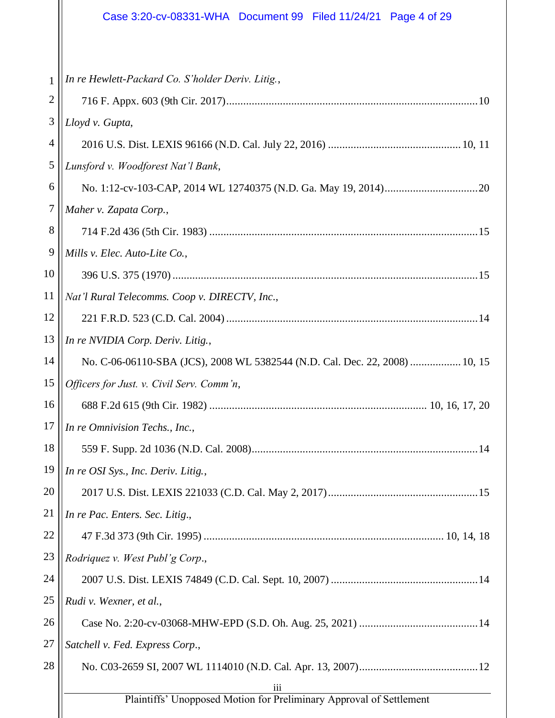# Case 3:20-cv-08331-WHA Document 99 Filed 11/24/21 Page 4 of 29

| $\mathbf{1}$   | In re Hewlett-Packard Co. S'holder Deriv. Litig.,                           |
|----------------|-----------------------------------------------------------------------------|
| $\overline{2}$ |                                                                             |
| 3              | Lloyd v. Gupta,                                                             |
| 4              |                                                                             |
| 5              | Lunsford v. Woodforest Nat'l Bank,                                          |
| 6              |                                                                             |
| $\tau$         | Maher v. Zapata Corp.,                                                      |
| 8              |                                                                             |
| 9              | Mills v. Elec. Auto-Lite Co.,                                               |
| 10             |                                                                             |
| 11             | Nat'l Rural Telecomms. Coop v. DIRECTV, Inc.,                               |
| 12             |                                                                             |
| 13             | In re NVIDIA Corp. Deriv. Litig.,                                           |
| 14             | No. C-06-06110-SBA (JCS), 2008 WL 5382544 (N.D. Cal. Dec. 22, 2008)  10, 15 |
| 15             | Officers for Just. v. Civil Serv. Comm'n,                                   |
| 16             |                                                                             |
| 17             | In re Omnivision Techs., Inc.,                                              |
| 18             |                                                                             |
| 19             | In re OSI Sys., Inc. Deriv. Litig.,                                         |
| 20             |                                                                             |
| 21             | In re Pac. Enters. Sec. Litig.,                                             |
| 22             |                                                                             |
| 23             | Rodriquez v. West Publ'g Corp.,                                             |
| 24             |                                                                             |
| 25             | Rudi v. Wexner, et al.,                                                     |
| 26             |                                                                             |
| 27             | Satchell v. Fed. Express Corp.,                                             |
| 28             |                                                                             |
|                | 111<br>Plaintiffs' Unopposed Motion for Preliminary Approval of Settlement  |
|                |                                                                             |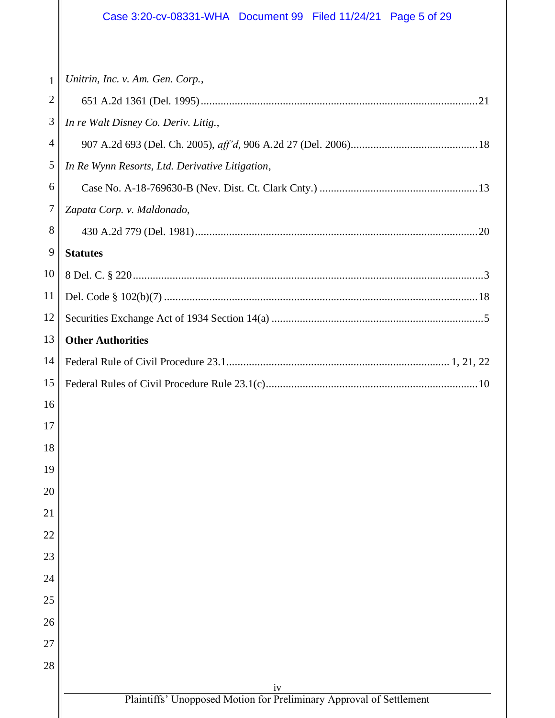# Case 3:20-cv-08331-WHA Document 99 Filed 11/24/21 Page 5 of 29

| 1                | Unitrin, Inc. v. Am. Gen. Corp.,                                          |  |  |
|------------------|---------------------------------------------------------------------------|--|--|
| $\overline{c}$   |                                                                           |  |  |
| 3                | In re Walt Disney Co. Deriv. Litig.,                                      |  |  |
| $\overline{4}$   |                                                                           |  |  |
| 5                | In Re Wynn Resorts, Ltd. Derivative Litigation,                           |  |  |
| 6                |                                                                           |  |  |
| $\boldsymbol{7}$ | Zapata Corp. v. Maldonado,                                                |  |  |
| 8                |                                                                           |  |  |
| 9                | <b>Statutes</b>                                                           |  |  |
| 10               |                                                                           |  |  |
| 11               |                                                                           |  |  |
| 12               |                                                                           |  |  |
| 13               | <b>Other Authorities</b>                                                  |  |  |
| 14               |                                                                           |  |  |
| 15               |                                                                           |  |  |
| 16               |                                                                           |  |  |
| 17               |                                                                           |  |  |
| 18               |                                                                           |  |  |
| 19               |                                                                           |  |  |
| 20               |                                                                           |  |  |
| 21               |                                                                           |  |  |
| 22               |                                                                           |  |  |
| 23               |                                                                           |  |  |
| 24               |                                                                           |  |  |
| 25               |                                                                           |  |  |
| 26               |                                                                           |  |  |
| 27               |                                                                           |  |  |
| 28               |                                                                           |  |  |
|                  | iv<br>Plaintiffs' Unopposed Motion for Preliminary Approval of Settlement |  |  |
|                  |                                                                           |  |  |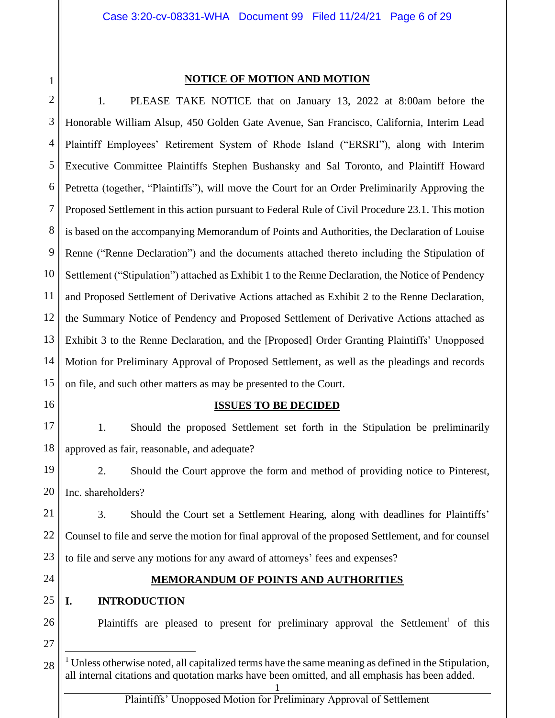1 2 3

#### **NOTICE OF MOTION AND MOTION**

4 5 6 7 8 9 10 11 12 13 14 15 1. PLEASE TAKE NOTICE that on January 13, 2022 at 8:00am before the Honorable William Alsup, 450 Golden Gate Avenue, San Francisco, California, Interim Lead Plaintiff Employees' Retirement System of Rhode Island ("ERSRI"), along with Interim Executive Committee Plaintiffs Stephen Bushansky and Sal Toronto, and Plaintiff Howard Petretta (together, "Plaintiffs"), will move the Court for an Order Preliminarily Approving the Proposed Settlement in this action pursuant to Federal Rule of Civil Procedure 23.1. This motion is based on the accompanying Memorandum of Points and Authorities, the Declaration of Louise Renne ("Renne Declaration") and the documents attached thereto including the Stipulation of Settlement ("Stipulation") attached as Exhibit 1 to the Renne Declaration, the Notice of Pendency and Proposed Settlement of Derivative Actions attached as Exhibit 2 to the Renne Declaration, the Summary Notice of Pendency and Proposed Settlement of Derivative Actions attached as Exhibit 3 to the Renne Declaration, and the [Proposed] Order Granting Plaintiffs' Unopposed Motion for Preliminary Approval of Proposed Settlement, as well as the pleadings and records on file, and such other matters as may be presented to the Court.

#### **ISSUES TO BE DECIDED**

17 18 1. Should the proposed Settlement set forth in the Stipulation be preliminarily approved as fair, reasonable, and adequate?

19 20 2. Should the Court approve the form and method of providing notice to Pinterest, Inc. shareholders?

21 22 23 3. Should the Court set a Settlement Hearing, along with deadlines for Plaintiffs' Counsel to file and serve the motion for final approval of the proposed Settlement, and for counsel to file and serve any motions for any award of attorneys' fees and expenses?

24

26

27

16

#### **MEMORANDUM OF POINTS AND AUTHORITIES**

#### 25 **I. INTRODUCTION**

Plaintiffs are pleased to present for preliminary approval the Settlement<sup>1</sup> of this

<sup>28</sup> 1  $1$  Unless otherwise noted, all capitalized terms have the same meaning as defined in the Stipulation, all internal citations and quotation marks have been omitted, and all emphasis has been added.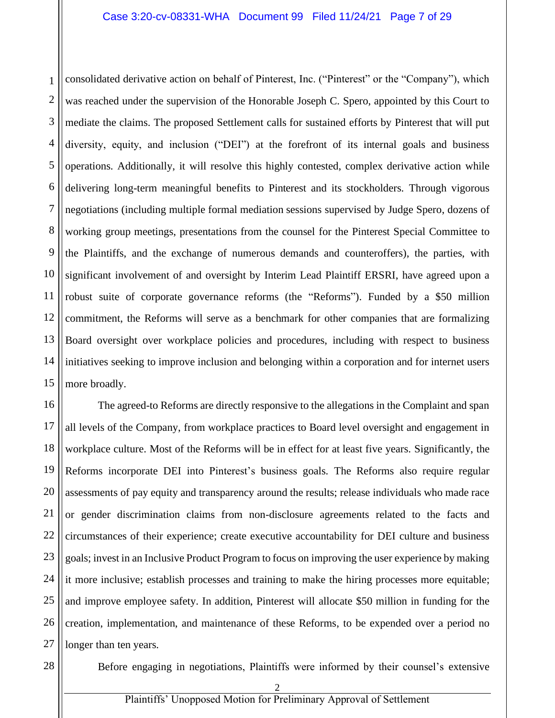1 2 3 4 5 6 7 8 9 10 11 12 13 14 15 consolidated derivative action on behalf of Pinterest, Inc. ("Pinterest" or the "Company"), which was reached under the supervision of the Honorable Joseph C. Spero, appointed by this Court to mediate the claims. The proposed Settlement calls for sustained efforts by Pinterest that will put diversity, equity, and inclusion ("DEI") at the forefront of its internal goals and business operations. Additionally, it will resolve this highly contested, complex derivative action while delivering long-term meaningful benefits to Pinterest and its stockholders. Through vigorous negotiations (including multiple formal mediation sessions supervised by Judge Spero, dozens of working group meetings, presentations from the counsel for the Pinterest Special Committee to the Plaintiffs, and the exchange of numerous demands and counteroffers), the parties, with significant involvement of and oversight by Interim Lead Plaintiff ERSRI, have agreed upon a robust suite of corporate governance reforms (the "Reforms"). Funded by a \$50 million commitment, the Reforms will serve as a benchmark for other companies that are formalizing Board oversight over workplace policies and procedures, including with respect to business initiatives seeking to improve inclusion and belonging within a corporation and for internet users more broadly.

16 17 18 19 20 21 22 23 24 25 26 27 The agreed-to Reforms are directly responsive to the allegations in the Complaint and span all levels of the Company, from workplace practices to Board level oversight and engagement in workplace culture. Most of the Reforms will be in effect for at least five years. Significantly, the Reforms incorporate DEI into Pinterest's business goals. The Reforms also require regular assessments of pay equity and transparency around the results; release individuals who made race or gender discrimination claims from non-disclosure agreements related to the facts and circumstances of their experience; create executive accountability for DEI culture and business goals; invest in an Inclusive Product Program to focus on improving the user experience by making it more inclusive; establish processes and training to make the hiring processes more equitable; and improve employee safety. In addition, Pinterest will allocate \$50 million in funding for the creation, implementation, and maintenance of these Reforms, to be expended over a period no longer than ten years.

28

Before engaging in negotiations, Plaintiffs were informed by their counsel's extensive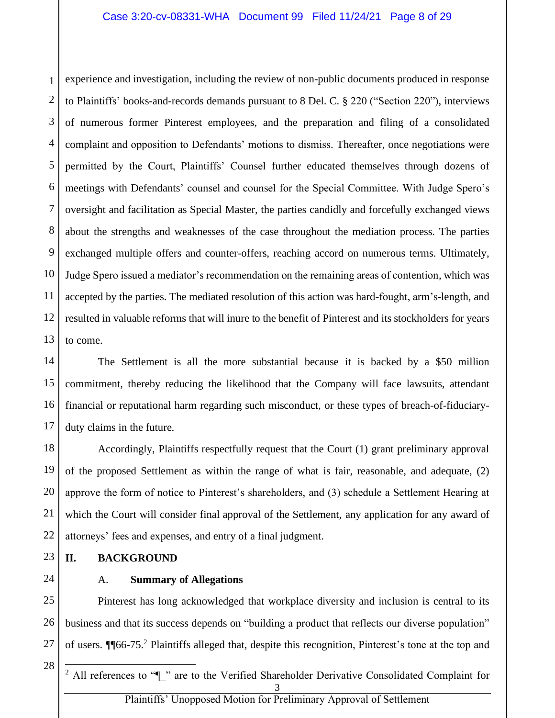1 2 3 4 5 6 7 8 9 10 11 12 13 experience and investigation, including the review of non-public documents produced in response to Plaintiffs' books-and-records demands pursuant to 8 Del. C. § 220 ("Section 220"), interviews of numerous former Pinterest employees, and the preparation and filing of a consolidated complaint and opposition to Defendants' motions to dismiss. Thereafter, once negotiations were permitted by the Court, Plaintiffs' Counsel further educated themselves through dozens of meetings with Defendants' counsel and counsel for the Special Committee. With Judge Spero's oversight and facilitation as Special Master, the parties candidly and forcefully exchanged views about the strengths and weaknesses of the case throughout the mediation process. The parties exchanged multiple offers and counter-offers, reaching accord on numerous terms. Ultimately, Judge Spero issued a mediator's recommendation on the remaining areas of contention, which was accepted by the parties. The mediated resolution of this action was hard-fought, arm's-length, and resulted in valuable reforms that will inure to the benefit of Pinterest and its stockholders for years to come.

14 15 16 17 The Settlement is all the more substantial because it is backed by a \$50 million commitment, thereby reducing the likelihood that the Company will face lawsuits, attendant financial or reputational harm regarding such misconduct, or these types of breach-of-fiduciaryduty claims in the future.

18 19 20 21 22 Accordingly, Plaintiffs respectfully request that the Court (1) grant preliminary approval of the proposed Settlement as within the range of what is fair, reasonable, and adequate, (2) approve the form of notice to Pinterest's shareholders, and (3) schedule a Settlement Hearing at which the Court will consider final approval of the Settlement, any application for any award of attorneys' fees and expenses, and entry of a final judgment.

#### **II. BACKGROUND**

24

23

## A. **Summary of Allegations**

25 26 27 Pinterest has long acknowledged that workplace diversity and inclusion is central to its business and that its success depends on "building a product that reflects our diverse population" of users. ¶¶66-75.<sup>2</sup> Plaintiffs alleged that, despite this recognition, Pinterest's tone at the top and

28

3 <sup>2</sup> All references to " $\parallel$ " are to the Verified Shareholder Derivative Consolidated Complaint for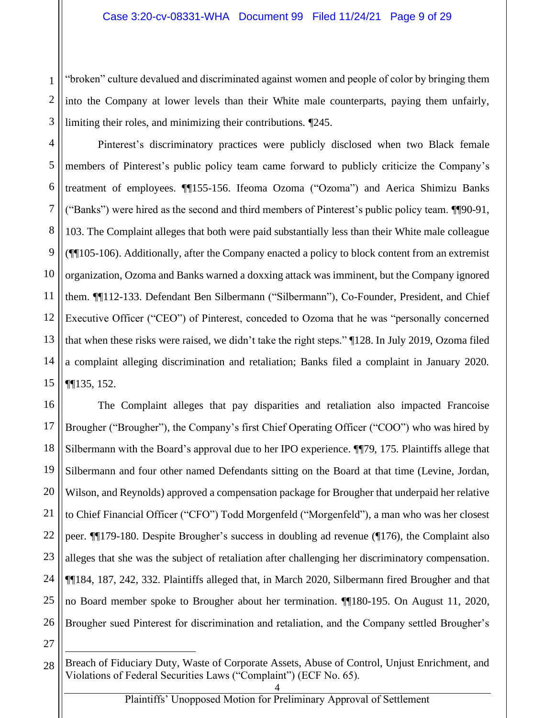1 2 3 "broken" culture devalued and discriminated against women and people of color by bringing them into the Company at lower levels than their White male counterparts, paying them unfairly, limiting their roles, and minimizing their contributions. ¶245.

4 5 6 7 8 9 10 11 12 13 14 15 Pinterest's discriminatory practices were publicly disclosed when two Black female members of Pinterest's public policy team came forward to publicly criticize the Company's treatment of employees. ¶¶155-156. Ifeoma Ozoma ("Ozoma") and Aerica Shimizu Banks ("Banks") were hired as the second and third members of Pinterest's public policy team. ¶¶90-91, 103. The Complaint alleges that both were paid substantially less than their White male colleague (¶¶105-106). Additionally, after the Company enacted a policy to block content from an extremist organization, Ozoma and Banks warned a doxxing attack was imminent, but the Company ignored them. ¶¶112-133. Defendant Ben Silbermann ("Silbermann"), Co-Founder, President, and Chief Executive Officer ("CEO") of Pinterest, conceded to Ozoma that he was "personally concerned that when these risks were raised, we didn't take the right steps." ¶128. In July 2019, Ozoma filed a complaint alleging discrimination and retaliation; Banks filed a complaint in January 2020. ¶¶135, 152.

16 17 18 19 20 21 22 23 24 25 26 The Complaint alleges that pay disparities and retaliation also impacted Francoise Brougher ("Brougher"), the Company's first Chief Operating Officer ("COO") who was hired by Silbermann with the Board's approval due to her IPO experience. ¶¶79, 175. Plaintiffs allege that Silbermann and four other named Defendants sitting on the Board at that time (Levine, Jordan, Wilson, and Reynolds) approved a compensation package for Brougher that underpaid her relative to Chief Financial Officer ("CFO") Todd Morgenfeld ("Morgenfeld"), a man who was her closest peer. ¶¶179-180. Despite Brougher's success in doubling ad revenue (¶176), the Complaint also alleges that she was the subject of retaliation after challenging her discriminatory compensation. ¶¶184, 187, 242, 332. Plaintiffs alleged that, in March 2020, Silbermann fired Brougher and that no Board member spoke to Brougher about her termination. ¶¶180-195. On August 11, 2020, Brougher sued Pinterest for discrimination and retaliation, and the Company settled Brougher's

<sup>28</sup> Breach of Fiduciary Duty, Waste of Corporate Assets, Abuse of Control, Unjust Enrichment, and Violations of Federal Securities Laws ("Complaint") (ECF No. 65).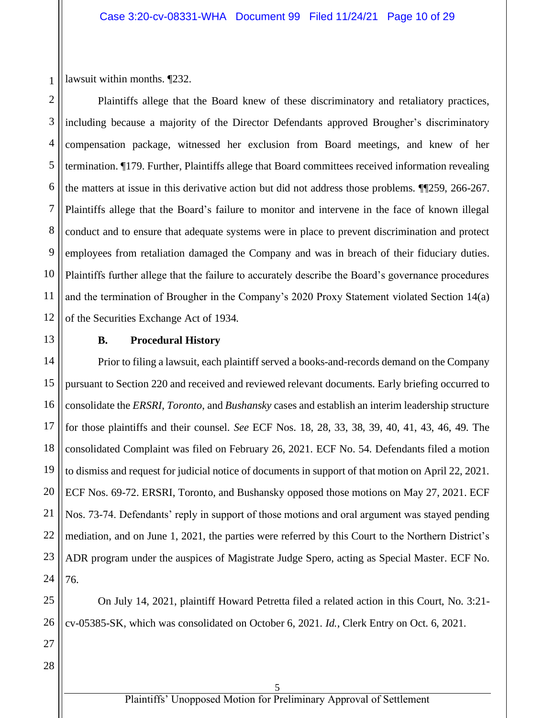1 lawsuit within months. ¶232.

2 3 4 5 6 7 8 Plaintiffs allege that the Board knew of these discriminatory and retaliatory practices, including because a majority of the Director Defendants approved Brougher's discriminatory compensation package, witnessed her exclusion from Board meetings, and knew of her termination. ¶179. Further, Plaintiffs allege that Board committees received information revealing the matters at issue in this derivative action but did not address those problems. ¶¶259, 266-267. Plaintiffs allege that the Board's failure to monitor and intervene in the face of known illegal conduct and to ensure that adequate systems were in place to prevent discrimination and protect employees from retaliation damaged the Company and was in breach of their fiduciary duties. Plaintiffs further allege that the failure to accurately describe the Board's governance procedures and the termination of Brougher in the Company's 2020 Proxy Statement violated Section 14(a) of the Securities Exchange Act of 1934.

#### **B. Procedural History**

Prior to filing a lawsuit, each plaintiff served a books-and-records demand on the Company pursuant to Section 220 and received and reviewed relevant documents. Early briefing occurred to consolidate the *ERSRI*, *Toronto*, and *Bushansky* cases and establish an interim leadership structure for those plaintiffs and their counsel. *See* ECF Nos. 18, 28, 33, 38, 39, 40, 41, 43, 46, 49. The consolidated Complaint was filed on February 26, 2021. ECF No. 54. Defendants filed a motion to dismiss and request for judicial notice of documents in support of that motion on April 22, 2021. ECF Nos. 69-72. ERSRI, Toronto, and Bushansky opposed those motions on May 27, 2021. ECF Nos. 73-74. Defendants' reply in support of those motions and oral argument was stayed pending mediation, and on June 1, 2021, the parties were referred by this Court to the Northern District's ADR program under the auspices of Magistrate Judge Spero, acting as Special Master. ECF No. 76.

On July 14, 2021, plaintiff Howard Petretta filed a related action in this Court, No. 3:21 cv-05385-SK, which was consolidated on October 6, 2021. *Id.*, Clerk Entry on Oct. 6, 2021.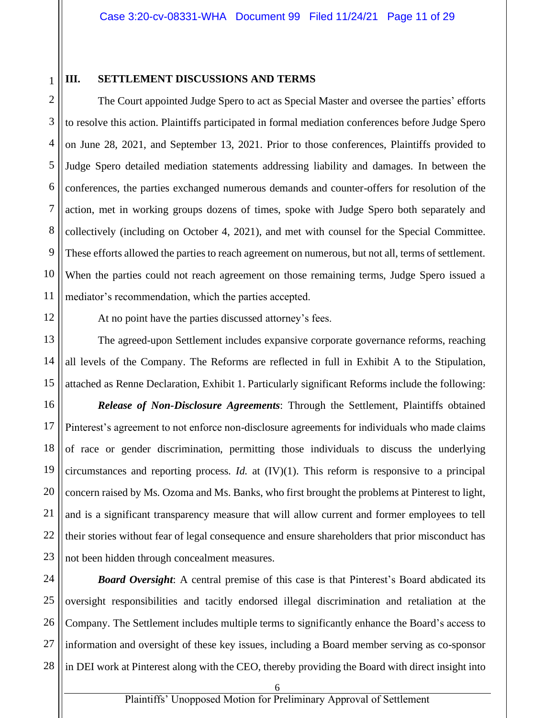1

10

11

12

13

14

15

21

#### **III. SETTLEMENT DISCUSSIONS AND TERMS**

2 3 4 5 6 7 8 9 The Court appointed Judge Spero to act as Special Master and oversee the parties' efforts to resolve this action. Plaintiffs participated in formal mediation conferences before Judge Spero on June 28, 2021, and September 13, 2021. Prior to those conferences, Plaintiffs provided to Judge Spero detailed mediation statements addressing liability and damages. In between the conferences, the parties exchanged numerous demands and counter-offers for resolution of the action, met in working groups dozens of times, spoke with Judge Spero both separately and collectively (including on October 4, 2021), and met with counsel for the Special Committee. These efforts allowed the parties to reach agreement on numerous, but not all, terms of settlement. When the parties could not reach agreement on those remaining terms, Judge Spero issued a mediator's recommendation, which the parties accepted.

At no point have the parties discussed attorney's fees.

The agreed-upon Settlement includes expansive corporate governance reforms, reaching all levels of the Company. The Reforms are reflected in full in Exhibit A to the Stipulation, attached as Renne Declaration, Exhibit 1. Particularly significant Reforms include the following:

16 17 18 19 20 22 23 *Release of Non-Disclosure Agreements*: Through the Settlement, Plaintiffs obtained Pinterest's agreement to not enforce non-disclosure agreements for individuals who made claims of race or gender discrimination, permitting those individuals to discuss the underlying circumstances and reporting process. *Id.* at (IV)(1). This reform is responsive to a principal concern raised by Ms. Ozoma and Ms. Banks, who first brought the problems at Pinterest to light, and is a significant transparency measure that will allow current and former employees to tell their stories without fear of legal consequence and ensure shareholders that prior misconduct has not been hidden through concealment measures.

24 25 26 27 28 *Board Oversight*: A central premise of this case is that Pinterest's Board abdicated its oversight responsibilities and tacitly endorsed illegal discrimination and retaliation at the Company. The Settlement includes multiple terms to significantly enhance the Board's access to information and oversight of these key issues, including a Board member serving as co-sponsor in DEI work at Pinterest along with the CEO, thereby providing the Board with direct insight into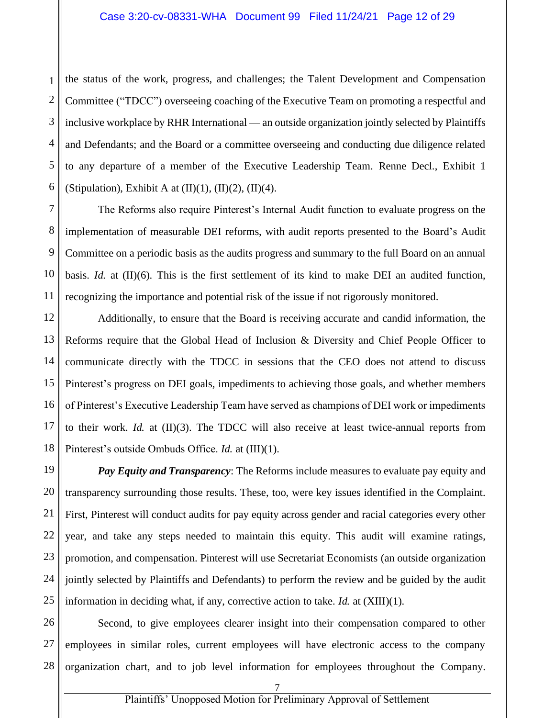1 2 the status of the work, progress, and challenges; the Talent Development and Compensation Committee ("TDCC") overseeing coaching of the Executive Team on promoting a respectful and inclusive workplace by RHR International — an outside organization jointly selected by Plaintiffs and Defendants; and the Board or a committee overseeing and conducting due diligence related to any departure of a member of the Executive Leadership Team. Renne Decl., Exhibit 1 (Stipulation), Exhibit A at  $(II)(1)$ ,  $(II)(2)$ ,  $(II)(4)$ .

The Reforms also require Pinterest's Internal Audit function to evaluate progress on the implementation of measurable DEI reforms, with audit reports presented to the Board's Audit Committee on a periodic basis as the audits progress and summary to the full Board on an annual basis. *Id.* at (II)(6). This is the first settlement of its kind to make DEI an audited function, recognizing the importance and potential risk of the issue if not rigorously monitored.

Additionally, to ensure that the Board is receiving accurate and candid information, the Reforms require that the Global Head of Inclusion & Diversity and Chief People Officer to communicate directly with the TDCC in sessions that the CEO does not attend to discuss Pinterest's progress on DEI goals, impediments to achieving those goals, and whether members of Pinterest's Executive Leadership Team have served as champions of DEI work or impediments to their work. *Id.* at (II)(3). The TDCC will also receive at least twice-annual reports from Pinterest's outside Ombuds Office. *Id.* at (III)(1).

*Pay Equity and Transparency*: The Reforms include measures to evaluate pay equity and transparency surrounding those results. These, too, were key issues identified in the Complaint. First, Pinterest will conduct audits for pay equity across gender and racial categories every other year, and take any steps needed to maintain this equity. This audit will examine ratings, promotion, and compensation. Pinterest will use Secretariat Economists (an outside organization jointly selected by Plaintiffs and Defendants) to perform the review and be guided by the audit information in deciding what, if any, corrective action to take. *Id.* at (XIII)(1).

Second, to give employees clearer insight into their compensation compared to other employees in similar roles, current employees will have electronic access to the company organization chart, and to job level information for employees throughout the Company.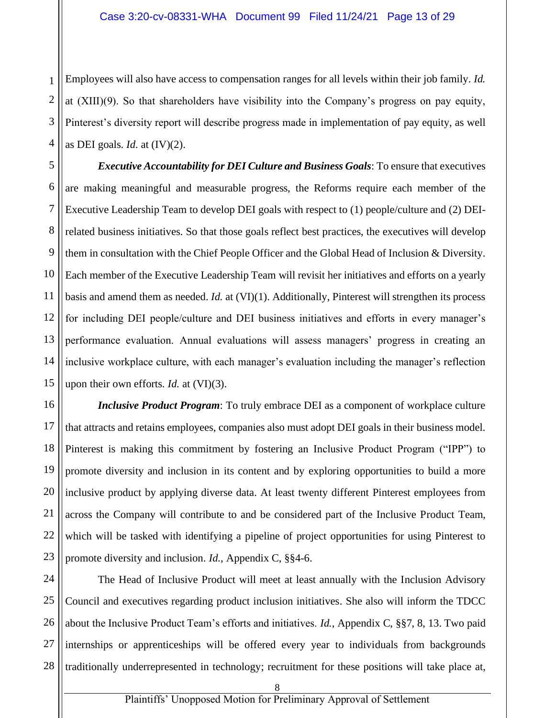1 Employees will also have access to compensation ranges for all levels within their job family. *Id.* at (XIII)(9). So that shareholders have visibility into the Company's progress on pay equity, Pinterest's diversity report will describe progress made in implementation of pay equity, as well as DEI goals. *Id.* at (IV)(2).

*Executive Accountability for DEI Culture and Business Goals*: To ensure that executives are making meaningful and measurable progress, the Reforms require each member of the Executive Leadership Team to develop DEI goals with respect to (1) people/culture and (2) DEIrelated business initiatives. So that those goals reflect best practices, the executives will develop them in consultation with the Chief People Officer and the Global Head of Inclusion & Diversity. Each member of the Executive Leadership Team will revisit her initiatives and efforts on a yearly basis and amend them as needed. *Id.* at (VI)(1). Additionally, Pinterest will strengthen its process for including DEI people/culture and DEI business initiatives and efforts in every manager's performance evaluation. Annual evaluations will assess managers' progress in creating an inclusive workplace culture, with each manager's evaluation including the manager's reflection upon their own efforts. *Id.* at (VI)(3).

*Inclusive Product Program*: To truly embrace DEI as a component of workplace culture that attracts and retains employees, companies also must adopt DEI goals in their business model. Pinterest is making this commitment by fostering an Inclusive Product Program ("IPP") to promote diversity and inclusion in its content and by exploring opportunities to build a more inclusive product by applying diverse data. At least twenty different Pinterest employees from across the Company will contribute to and be considered part of the Inclusive Product Team, which will be tasked with identifying a pipeline of project opportunities for using Pinterest to promote diversity and inclusion. *Id.*, Appendix C, §§4-6.

The Head of Inclusive Product will meet at least annually with the Inclusion Advisory Council and executives regarding product inclusion initiatives. She also will inform the TDCC about the Inclusive Product Team's efforts and initiatives. *Id.*, Appendix C, §§7, 8, 13. Two paid internships or apprenticeships will be offered every year to individuals from backgrounds traditionally underrepresented in technology; recruitment for these positions will take place at,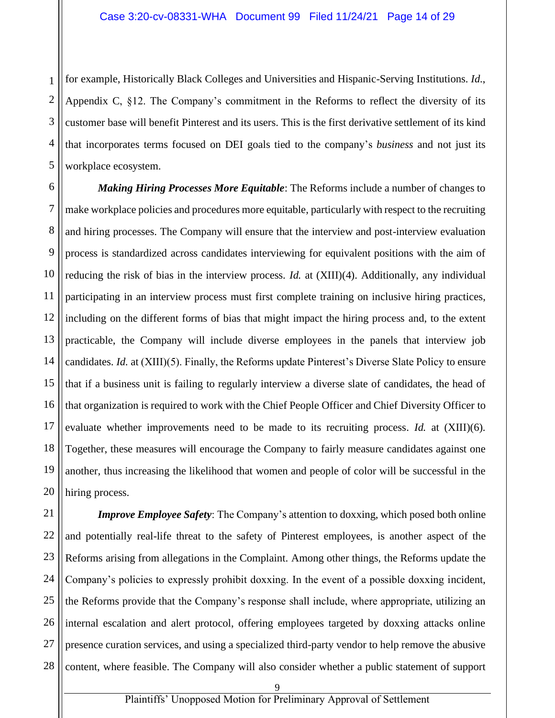1 2 3 4 5 for example, Historically Black Colleges and Universities and Hispanic-Serving Institutions. *Id.*, Appendix C, §12. The Company's commitment in the Reforms to reflect the diversity of its customer base will benefit Pinterest and its users. This is the first derivative settlement of its kind that incorporates terms focused on DEI goals tied to the company's *business* and not just its workplace ecosystem.

*Making Hiring Processes More Equitable*: The Reforms include a number of changes to make workplace policies and procedures more equitable, particularly with respect to the recruiting and hiring processes. The Company will ensure that the interview and post-interview evaluation process is standardized across candidates interviewing for equivalent positions with the aim of reducing the risk of bias in the interview process. *Id.* at (XIII)(4). Additionally, any individual participating in an interview process must first complete training on inclusive hiring practices, including on the different forms of bias that might impact the hiring process and, to the extent practicable, the Company will include diverse employees in the panels that interview job candidates. *Id.* at (XIII)(5). Finally, the Reforms update Pinterest's Diverse Slate Policy to ensure that if a business unit is failing to regularly interview a diverse slate of candidates, the head of that organization is required to work with the Chief People Officer and Chief Diversity Officer to evaluate whether improvements need to be made to its recruiting process. *Id.* at (XIII)(6). Together, these measures will encourage the Company to fairly measure candidates against one another, thus increasing the likelihood that women and people of color will be successful in the hiring process.

28 *Improve Employee Safety*: The Company's attention to doxxing, which posed both online and potentially real-life threat to the safety of Pinterest employees, is another aspect of the Reforms arising from allegations in the Complaint. Among other things, the Reforms update the Company's policies to expressly prohibit doxxing. In the event of a possible doxxing incident, the Reforms provide that the Company's response shall include, where appropriate, utilizing an internal escalation and alert protocol, offering employees targeted by doxxing attacks online presence curation services, and using a specialized third-party vendor to help remove the abusive content, where feasible. The Company will also consider whether a public statement of support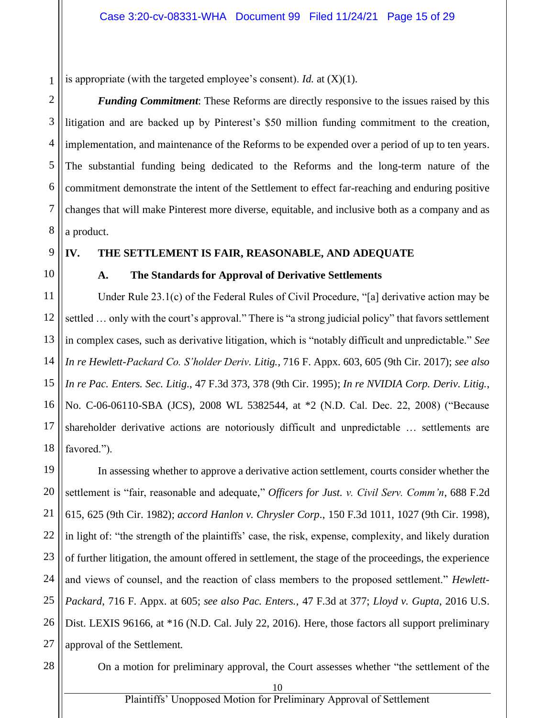1 is appropriate (with the targeted employee's consent). *Id.* at (X)(1).

2 3 4 5 6 7 8 *Funding Commitment*: These Reforms are directly responsive to the issues raised by this litigation and are backed up by Pinterest's \$50 million funding commitment to the creation, implementation, and maintenance of the Reforms to be expended over a period of up to ten years. The substantial funding being dedicated to the Reforms and the long-term nature of the commitment demonstrate the intent of the Settlement to effect far-reaching and enduring positive changes that will make Pinterest more diverse, equitable, and inclusive both as a company and as a product.

9

#### **IV. THE SETTLEMENT IS FAIR, REASONABLE, AND ADEQUATE**

### 10

#### **A. The Standards for Approval of Derivative Settlements**

11 12 13 14 15 16 17 18 Under Rule 23.1(c) of the Federal Rules of Civil Procedure, "[a] derivative action may be settled … only with the court's approval." There is "a strong judicial policy" that favors settlement in complex cases, such as derivative litigation, which is "notably difficult and unpredictable." *See In re Hewlett-Packard Co. S'holder Deriv. Litig.,* 716 F. Appx. 603, 605 (9th Cir. 2017); *see also In re Pac. Enters. Sec. Litig*., 47 F.3d 373, 378 (9th Cir. 1995); *In re NVIDIA Corp. Deriv. Litig.*, No. C-06-06110-SBA (JCS), 2008 WL 5382544, at \*2 (N.D. Cal. Dec. 22, 2008) ("Because shareholder derivative actions are notoriously difficult and unpredictable … settlements are favored.").

19 20 21 22 23 24 25 26 27 In assessing whether to approve a derivative action settlement, courts consider whether the settlement is "fair, reasonable and adequate," *Officers for Just. v. Civil Serv. Comm'n*, 688 F.2d 615, 625 (9th Cir. 1982); *accord Hanlon v. Chrysler Corp*., 150 F.3d 1011, 1027 (9th Cir. 1998), in light of: "the strength of the plaintiffs' case, the risk, expense, complexity, and likely duration of further litigation, the amount offered in settlement, the stage of the proceedings, the experience and views of counsel, and the reaction of class members to the proposed settlement." *Hewlett-Packard*, 716 F. Appx. at 605; *see also Pac. Enters.*, 47 F.3d at 377; *Lloyd v. Gupta*, 2016 U.S. Dist. LEXIS 96166, at \*16 (N.D. Cal. July 22, 2016). Here, those factors all support preliminary approval of the Settlement.

28

On a motion for preliminary approval, the Court assesses whether "the settlement of the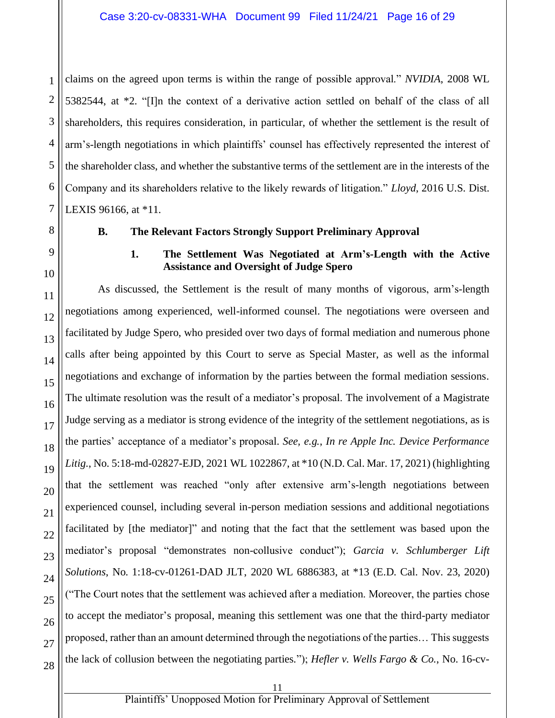1 2 claims on the agreed upon terms is within the range of possible approval." *NVIDIA*, 2008 WL 5382544, at \*2. "[I]n the context of a derivative action settled on behalf of the class of all shareholders, this requires consideration, in particular, of whether the settlement is the result of arm's-length negotiations in which plaintiffs' counsel has effectively represented the interest of the shareholder class, and whether the substantive terms of the settlement are in the interests of the Company and its shareholders relative to the likely rewards of litigation." *Lloyd*, 2016 U.S. Dist. LEXIS 96166, at \*11.

#### **B. The Relevant Factors Strongly Support Preliminary Approval**

#### **1. The Settlement Was Negotiated at Arm's-Length with the Active Assistance and Oversight of Judge Spero**

As discussed, the Settlement is the result of many months of vigorous, arm's-length negotiations among experienced, well-informed counsel. The negotiations were overseen and facilitated by Judge Spero, who presided over two days of formal mediation and numerous phone calls after being appointed by this Court to serve as Special Master, as well as the informal negotiations and exchange of information by the parties between the formal mediation sessions. The ultimate resolution was the result of a mediator's proposal. The involvement of a Magistrate Judge serving as a mediator is strong evidence of the integrity of the settlement negotiations, as is the parties' acceptance of a mediator's proposal. *See, e.g.*, *In re Apple Inc. Device Performance Litig.*, No. 5:18-md-02827-EJD, 2021 WL 1022867, at \*10 (N.D. Cal. Mar. 17, 2021) (highlighting that the settlement was reached "only after extensive arm's-length negotiations between experienced counsel, including several in-person mediation sessions and additional negotiations facilitated by [the mediator]" and noting that the fact that the settlement was based upon the mediator's proposal "demonstrates non-collusive conduct"); *Garcia v. Schlumberger Lift Solutions*, No. 1:18-cv-01261-DAD JLT, 2020 WL 6886383, at \*13 (E.D. Cal. Nov. 23, 2020) ("The Court notes that the settlement was achieved after a mediation. Moreover, the parties chose to accept the mediator's proposal, meaning this settlement was one that the third-party mediator proposed, rather than an amount determined through the negotiations of the parties… This suggests the lack of collusion between the negotiating parties."); *Hefler v. Wells Fargo & Co.*, No. 16-cv-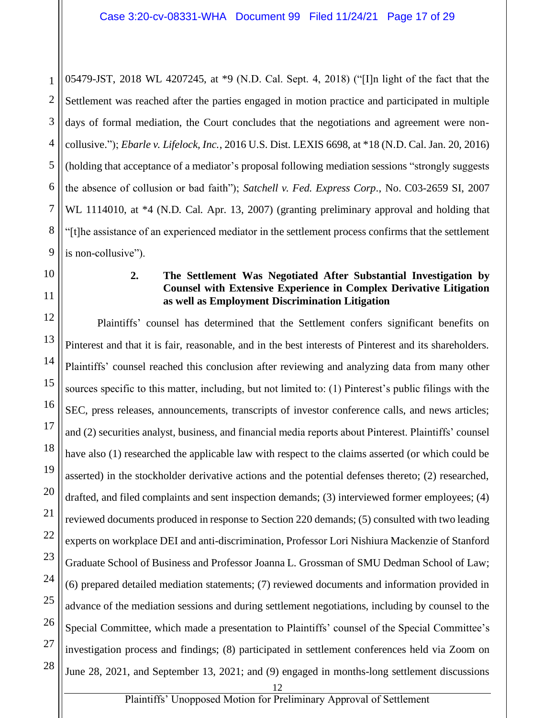1 2 3 4 5 6 7 8 05479-JST, 2018 WL 4207245, at \*9 (N.D. Cal. Sept. 4, 2018) ("[I]n light of the fact that the Settlement was reached after the parties engaged in motion practice and participated in multiple days of formal mediation, the Court concludes that the negotiations and agreement were noncollusive."); *Ebarle v. Lifelock, Inc.*, 2016 U.S. Dist. LEXIS 6698, at \*18 (N.D. Cal. Jan. 20, 2016) (holding that acceptance of a mediator's proposal following mediation sessions "strongly suggests the absence of collusion or bad faith"); *Satchell v. Fed. Express Corp*., No. C03-2659 SI, 2007 WL 1114010, at  $*4$  (N.D. Cal. Apr. 13, 2007) (granting preliminary approval and holding that "[t]he assistance of an experienced mediator in the settlement process confirms that the settlement is non-collusive").

#### **2. The Settlement Was Negotiated After Substantial Investigation by Counsel with Extensive Experience in Complex Derivative Litigation as well as Employment Discrimination Litigation**

Plaintiffs' counsel has determined that the Settlement confers significant benefits on Pinterest and that it is fair, reasonable, and in the best interests of Pinterest and its shareholders. Plaintiffs' counsel reached this conclusion after reviewing and analyzing data from many other sources specific to this matter, including, but not limited to: (1) Pinterest's public filings with the SEC, press releases, announcements, transcripts of investor conference calls, and news articles; and (2) securities analyst, business, and financial media reports about Pinterest. Plaintiffs' counsel have also (1) researched the applicable law with respect to the claims asserted (or which could be asserted) in the stockholder derivative actions and the potential defenses thereto; (2) researched, drafted, and filed complaints and sent inspection demands; (3) interviewed former employees; (4) reviewed documents produced in response to Section 220 demands; (5) consulted with two leading experts on workplace DEI and anti-discrimination, Professor Lori Nishiura Mackenzie of Stanford Graduate School of Business and Professor Joanna L. Grossman of SMU Dedman School of Law; (6) prepared detailed mediation statements; (7) reviewed documents and information provided in advance of the mediation sessions and during settlement negotiations, including by counsel to the Special Committee, which made a presentation to Plaintiffs' counsel of the Special Committee's investigation process and findings; (8) participated in settlement conferences held via Zoom on June 28, 2021, and September 13, 2021; and (9) engaged in months-long settlement discussions

Plaintiffs' Unopposed Motion for Preliminary Approval of Settlement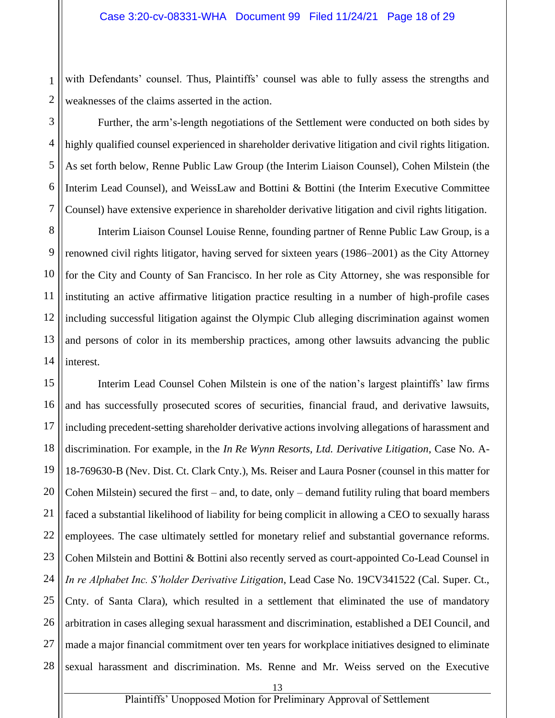1 with Defendants' counsel. Thus, Plaintiffs' counsel was able to fully assess the strengths and weaknesses of the claims asserted in the action.

Further, the arm's-length negotiations of the Settlement were conducted on both sides by highly qualified counsel experienced in shareholder derivative litigation and civil rights litigation. As set forth below, Renne Public Law Group (the Interim Liaison Counsel), Cohen Milstein (the Interim Lead Counsel), and WeissLaw and Bottini & Bottini (the Interim Executive Committee Counsel) have extensive experience in shareholder derivative litigation and civil rights litigation.

Interim Liaison Counsel Louise Renne, founding partner of Renne Public Law Group, is a renowned civil rights litigator, having served for sixteen years (1986–2001) as the City Attorney for the City and County of San Francisco. In her role as City Attorney, she was responsible for instituting an active affirmative litigation practice resulting in a number of high-profile cases including successful litigation against the Olympic Club alleging discrimination against women and persons of color in its membership practices, among other lawsuits advancing the public interest.

Interim Lead Counsel Cohen Milstein is one of the nation's largest plaintiffs' law firms and has successfully prosecuted scores of securities, financial fraud, and derivative lawsuits, including precedent-setting shareholder derivative actions involving allegations of harassment and discrimination. For example, in the *In Re Wynn Resorts, Ltd. Derivative Litigation*, Case No. A-18-769630-B (Nev. Dist. Ct. Clark Cnty.), Ms. Reiser and Laura Posner (counsel in this matter for Cohen Milstein) secured the first – and, to date, only – demand futility ruling that board members faced a substantial likelihood of liability for being complicit in allowing a CEO to sexually harass employees. The case ultimately settled for monetary relief and substantial governance reforms. Cohen Milstein and Bottini & Bottini also recently served as court-appointed Co-Lead Counsel in *In re Alphabet Inc. S'holder Derivative Litigation*, Lead Case No. 19CV341522 (Cal. Super. Ct., Cnty. of Santa Clara), which resulted in a settlement that eliminated the use of mandatory arbitration in cases alleging sexual harassment and discrimination, established a DEI Council, and made a major financial commitment over ten years for workplace initiatives designed to eliminate sexual harassment and discrimination. Ms. Renne and Mr. Weiss served on the Executive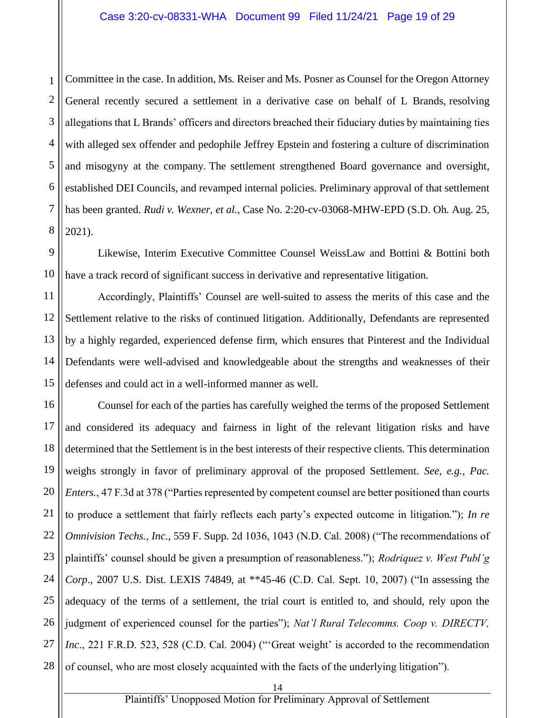1 2 3 4 Committee in the case. In addition, Ms. Reiser and Ms. Posner as Counsel for the Oregon Attorney General recently secured a settlement in a derivative case on behalf of L Brands, resolving allegations that L Brands' officers and directors breached their fiduciary duties by maintaining ties with alleged sex offender and pedophile Jeffrey Epstein and fostering a culture of discrimination and misogyny at the company. The settlement strengthened Board governance and oversight, established DEI Councils, and revamped internal policies. Preliminary approval of that settlement has been granted. *Rudi v. Wexner, et al.*, Case No. 2:20-cv-03068-MHW-EPD (S.D. Oh. Aug. 25, 2021).

Likewise, Interim Executive Committee Counsel WeissLaw and Bottini & Bottini both have a track record of significant success in derivative and representative litigation.

Accordingly, Plaintiffs' Counsel are well-suited to assess the merits of this case and the Settlement relative to the risks of continued litigation. Additionally, Defendants are represented by a highly regarded, experienced defense firm, which ensures that Pinterest and the Individual Defendants were well-advised and knowledgeable about the strengths and weaknesses of their defenses and could act in a well-informed manner as well.

Counsel for each of the parties has carefully weighed the terms of the proposed Settlement and considered its adequacy and fairness in light of the relevant litigation risks and have determined that the Settlement is in the best interests of their respective clients. This determination weighs strongly in favor of preliminary approval of the proposed Settlement. *See, e.g.*, *Pac. Enters.*, 47 F.3d at 378 ("Parties represented by competent counsel are better positioned than courts to produce a settlement that fairly reflects each party's expected outcome in litigation."); *In re Omnivision Techs., Inc.*, 559 F. Supp. 2d 1036, 1043 (N.D. Cal. 2008) ("The recommendations of plaintiffs' counsel should be given a presumption of reasonableness."); *Rodriquez v. West Publ'g Corp*., 2007 U.S. Dist. LEXIS 74849, at \*\*45-46 (C.D. Cal. Sept. 10, 2007) ("In assessing the adequacy of the terms of a settlement, the trial court is entitled to, and should, rely upon the judgment of experienced counsel for the parties"); *Nat'l Rural Telecomms. Coop v. DIRECTV, Inc.*, 221 F.R.D. 523, 528 (C.D. Cal. 2004) ("Great weight' is accorded to the recommendation of counsel, who are most closely acquainted with the facts of the underlying litigation").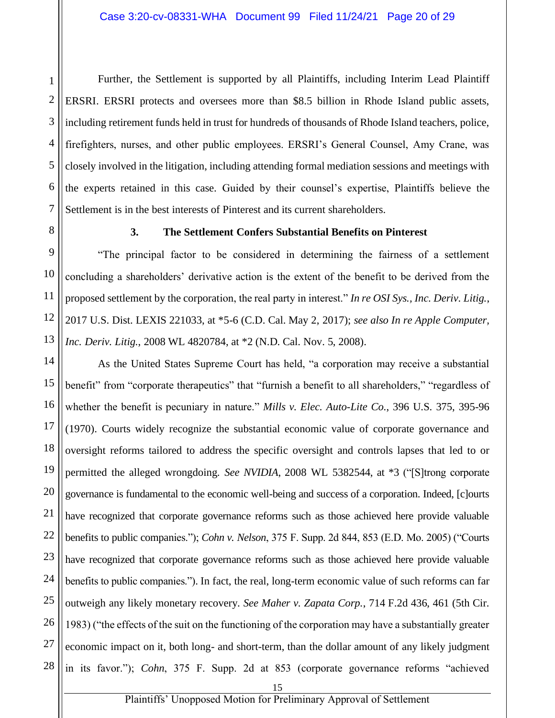1 2 Further, the Settlement is supported by all Plaintiffs, including Interim Lead Plaintiff ERSRI. ERSRI protects and oversees more than \$8.5 billion in Rhode Island public assets, including retirement funds held in trust for hundreds of thousands of Rhode Island teachers, police, firefighters, nurses, and other public employees. ERSRI's General Counsel, Amy Crane, was closely involved in the litigation, including attending formal mediation sessions and meetings with the experts retained in this case. Guided by their counsel's expertise, Plaintiffs believe the Settlement is in the best interests of Pinterest and its current shareholders.

#### **3. The Settlement Confers Substantial Benefits on Pinterest**

"The principal factor to be considered in determining the fairness of a settlement concluding a shareholders' derivative action is the extent of the benefit to be derived from the proposed settlement by the corporation, the real party in interest." *In re OSI Sys., Inc. Deriv. Litig.*, 2017 U.S. Dist. LEXIS 221033, at \*5-6 (C.D. Cal. May 2, 2017); *see also In re Apple Computer, Inc. Deriv. Litig.*, 2008 WL 4820784, at \*2 (N.D. Cal. Nov. 5, 2008).

As the United States Supreme Court has held, "a corporation may receive a substantial benefit" from "corporate therapeutics" that "furnish a benefit to all shareholders," "regardless of whether the benefit is pecuniary in nature." *Mills v. Elec. Auto-Lite Co.*, 396 U.S. 375, 395-96 (1970). Courts widely recognize the substantial economic value of corporate governance and oversight reforms tailored to address the specific oversight and controls lapses that led to or permitted the alleged wrongdoing. *See NVIDIA*, 2008 WL 5382544, at \*3 ("[S]trong corporate governance is fundamental to the economic well-being and success of a corporation. Indeed, [c]ourts have recognized that corporate governance reforms such as those achieved here provide valuable benefits to public companies."); *Cohn v. Nelson*, 375 F. Supp. 2d 844, 853 (E.D. Mo. 2005) ("Courts have recognized that corporate governance reforms such as those achieved here provide valuable benefits to public companies."). In fact, the real, long-term economic value of such reforms can far outweigh any likely monetary recovery. *See Maher v. Zapata Corp.*, 714 F.2d 436, 461 (5th Cir. 1983) ("the effects of the suit on the functioning of the corporation may have a substantially greater economic impact on it, both long- and short-term, than the dollar amount of any likely judgment in its favor."); *Cohn*, 375 F. Supp. 2d at 853 (corporate governance reforms "achieved

Plaintiffs' Unopposed Motion for Preliminary Approval of Settlement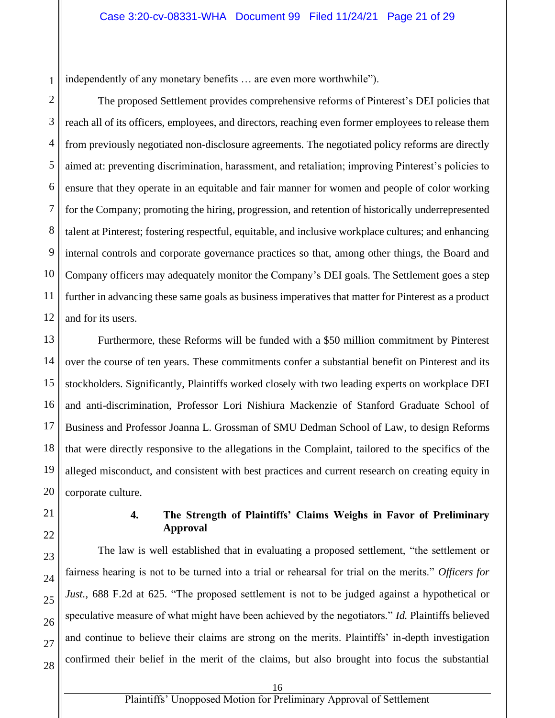1 independently of any monetary benefits … are even more worthwhile").

2 3 4 The proposed Settlement provides comprehensive reforms of Pinterest's DEI policies that reach all of its officers, employees, and directors, reaching even former employees to release them from previously negotiated non-disclosure agreements. The negotiated policy reforms are directly aimed at: preventing discrimination, harassment, and retaliation; improving Pinterest's policies to ensure that they operate in an equitable and fair manner for women and people of color working for the Company; promoting the hiring, progression, and retention of historically underrepresented talent at Pinterest; fostering respectful, equitable, and inclusive workplace cultures; and enhancing internal controls and corporate governance practices so that, among other things, the Board and Company officers may adequately monitor the Company's DEI goals. The Settlement goes a step further in advancing these same goals as business imperatives that matter for Pinterest as a product and for its users.

Furthermore, these Reforms will be funded with a \$50 million commitment by Pinterest over the course of ten years. These commitments confer a substantial benefit on Pinterest and its stockholders. Significantly, Plaintiffs worked closely with two leading experts on workplace DEI and anti-discrimination, Professor Lori Nishiura Mackenzie of Stanford Graduate School of Business and Professor Joanna L. Grossman of SMU Dedman School of Law, to design Reforms that were directly responsive to the allegations in the Complaint, tailored to the specifics of the alleged misconduct, and consistent with best practices and current research on creating equity in corporate culture.

#### **4. The Strength of Plaintiffs' Claims Weighs in Favor of Preliminary Approval**

The law is well established that in evaluating a proposed settlement, "the settlement or fairness hearing is not to be turned into a trial or rehearsal for trial on the merits." *Officers for Just.*, 688 F.2d at 625. "The proposed settlement is not to be judged against a hypothetical or speculative measure of what might have been achieved by the negotiators." *Id.* Plaintiffs believed and continue to believe their claims are strong on the merits. Plaintiffs' in-depth investigation confirmed their belief in the merit of the claims, but also brought into focus the substantial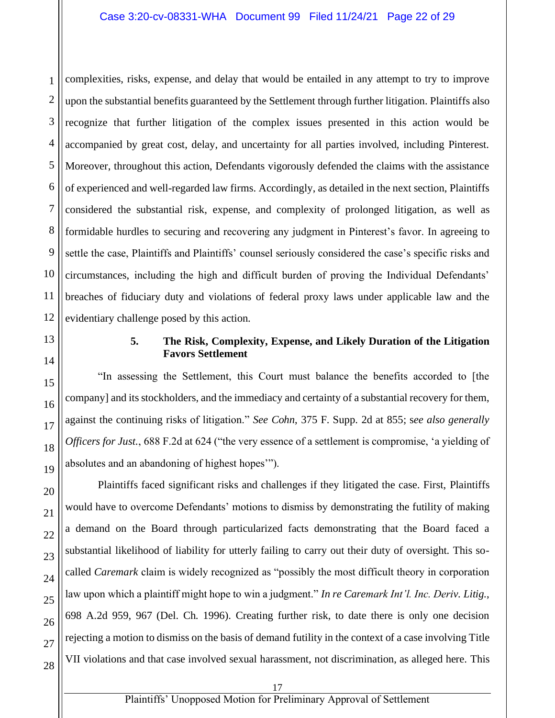1 2 3 4 5 6 7 8 9 10 11 12 complexities, risks, expense, and delay that would be entailed in any attempt to try to improve upon the substantial benefits guaranteed by the Settlement through further litigation. Plaintiffs also recognize that further litigation of the complex issues presented in this action would be accompanied by great cost, delay, and uncertainty for all parties involved, including Pinterest. Moreover, throughout this action, Defendants vigorously defended the claims with the assistance of experienced and well-regarded law firms. Accordingly, as detailed in the next section, Plaintiffs considered the substantial risk, expense, and complexity of prolonged litigation, as well as formidable hurdles to securing and recovering any judgment in Pinterest's favor. In agreeing to settle the case, Plaintiffs and Plaintiffs' counsel seriously considered the case's specific risks and circumstances, including the high and difficult burden of proving the Individual Defendants' breaches of fiduciary duty and violations of federal proxy laws under applicable law and the evidentiary challenge posed by this action.

13

14

15

16

17

18

19

20

21

22

23

#### **5. The Risk, Complexity, Expense, and Likely Duration of the Litigation Favors Settlement**

"In assessing the Settlement, this Court must balance the benefits accorded to [the company] and its stockholders, and the immediacy and certainty of a substantial recovery for them, against the continuing risks of litigation." *See Cohn*, 375 F. Supp. 2d at 855; s*ee also generally Officers for Just.*, 688 F.2d at 624 ("the very essence of a settlement is compromise, 'a yielding of absolutes and an abandoning of highest hopes'").

Plaintiffs faced significant risks and challenges if they litigated the case. First, Plaintiffs would have to overcome Defendants' motions to dismiss by demonstrating the futility of making a demand on the Board through particularized facts demonstrating that the Board faced a substantial likelihood of liability for utterly failing to carry out their duty of oversight. This socalled *Caremark* claim is widely recognized as "possibly the most difficult theory in corporation law upon which a plaintiff might hope to win a judgment." *In re Caremark Int'l. Inc. Deriv. Litig.*, 698 A.2d 959, 967 (Del. Ch. 1996). Creating further risk, to date there is only one decision rejecting a motion to dismiss on the basis of demand futility in the context of a case involving Title VII violations and that case involved sexual harassment, not discrimination, as alleged here. This

28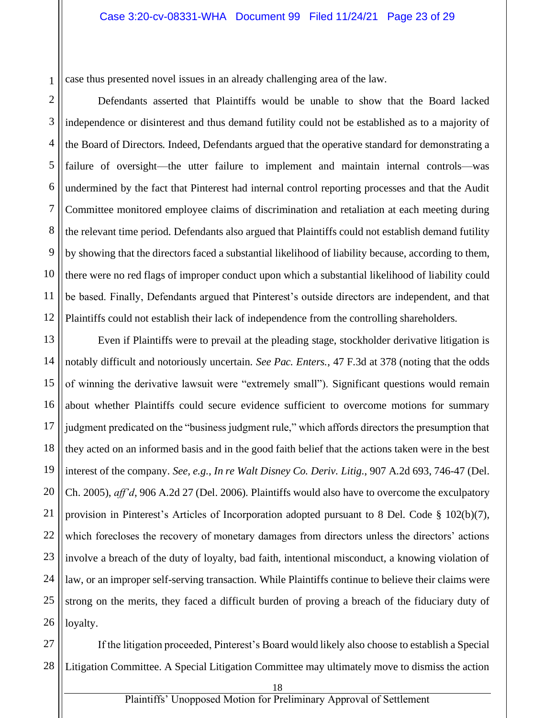case thus presented novel issues in an already challenging area of the law.

2 3 4 5 6 7 8 9 Defendants asserted that Plaintiffs would be unable to show that the Board lacked independence or disinterest and thus demand futility could not be established as to a majority of the Board of Directors. Indeed, Defendants argued that the operative standard for demonstrating a failure of oversight—the utter failure to implement and maintain internal controls—was undermined by the fact that Pinterest had internal control reporting processes and that the Audit Committee monitored employee claims of discrimination and retaliation at each meeting during the relevant time period. Defendants also argued that Plaintiffs could not establish demand futility by showing that the directors faced a substantial likelihood of liability because, according to them, there were no red flags of improper conduct upon which a substantial likelihood of liability could be based. Finally, Defendants argued that Pinterest's outside directors are independent, and that Plaintiffs could not establish their lack of independence from the controlling shareholders.

Even if Plaintiffs were to prevail at the pleading stage, stockholder derivative litigation is notably difficult and notoriously uncertain. *See Pac. Enters.*, 47 F.3d at 378 (noting that the odds of winning the derivative lawsuit were "extremely small"). Significant questions would remain about whether Plaintiffs could secure evidence sufficient to overcome motions for summary judgment predicated on the "business judgment rule," which affords directors the presumption that they acted on an informed basis and in the good faith belief that the actions taken were in the best interest of the company. *See, e.g., In re Walt Disney Co. Deriv. Litig.*, 907 A.2d 693, 746-47 (Del. Ch. 2005), *aff'd*, 906 A.2d 27 (Del. 2006). Plaintiffs would also have to overcome the exculpatory provision in Pinterest's Articles of Incorporation adopted pursuant to 8 Del. Code § 102(b)(7), which forecloses the recovery of monetary damages from directors unless the directors' actions involve a breach of the duty of loyalty, bad faith, intentional misconduct, a knowing violation of law, or an improper self-serving transaction. While Plaintiffs continue to believe their claims were strong on the merits, they faced a difficult burden of proving a breach of the fiduciary duty of loyalty.

28 If the litigation proceeded, Pinterest's Board would likely also choose to establish a Special Litigation Committee. A Special Litigation Committee may ultimately move to dismiss the action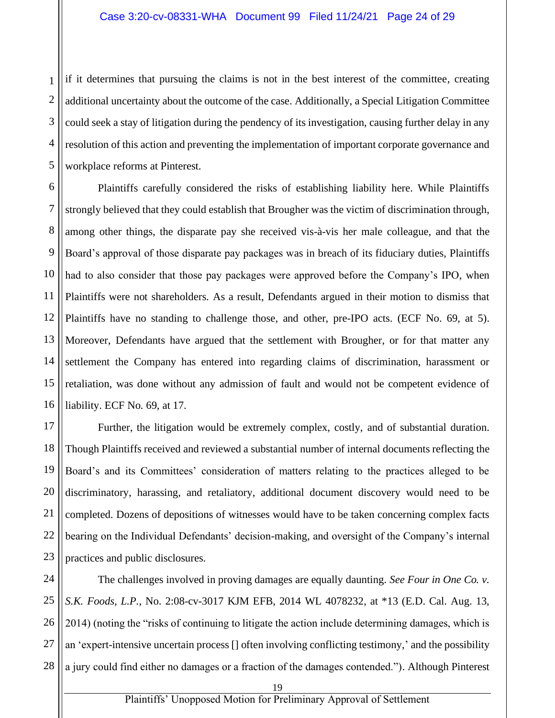1 if it determines that pursuing the claims is not in the best interest of the committee, creating additional uncertainty about the outcome of the case. Additionally, a Special Litigation Committee could seek a stay of litigation during the pendency of its investigation, causing further delay in any resolution of this action and preventing the implementation of important corporate governance and workplace reforms at Pinterest.

Plaintiffs carefully considered the risks of establishing liability here. While Plaintiffs strongly believed that they could establish that Brougher was the victim of discrimination through, among other things, the disparate pay she received vis-à-vis her male colleague, and that the Board's approval of those disparate pay packages was in breach of its fiduciary duties, Plaintiffs had to also consider that those pay packages were approved before the Company's IPO, when Plaintiffs were not shareholders. As a result, Defendants argued in their motion to dismiss that Plaintiffs have no standing to challenge those, and other, pre-IPO acts. (ECF No. 69, at 5). Moreover, Defendants have argued that the settlement with Brougher, or for that matter any settlement the Company has entered into regarding claims of discrimination, harassment or retaliation, was done without any admission of fault and would not be competent evidence of liability. ECF No. 69, at 17.

Further, the litigation would be extremely complex, costly, and of substantial duration. Though Plaintiffs received and reviewed a substantial number of internal documents reflecting the Board's and its Committees' consideration of matters relating to the practices alleged to be discriminatory, harassing, and retaliatory, additional document discovery would need to be completed. Dozens of depositions of witnesses would have to be taken concerning complex facts bearing on the Individual Defendants' decision-making, and oversight of the Company's internal practices and public disclosures.

The challenges involved in proving damages are equally daunting. *See Four in One Co. v. S.K. Foods, L.P.*, No. 2:08-cv-3017 KJM EFB, 2014 WL 4078232, at \*13 (E.D. Cal. Aug. 13, 2014) (noting the "risks of continuing to litigate the action include determining damages, which is an 'expert-intensive uncertain process [] often involving conflicting testimony,' and the possibility a jury could find either no damages or a fraction of the damages contended."). Although Pinterest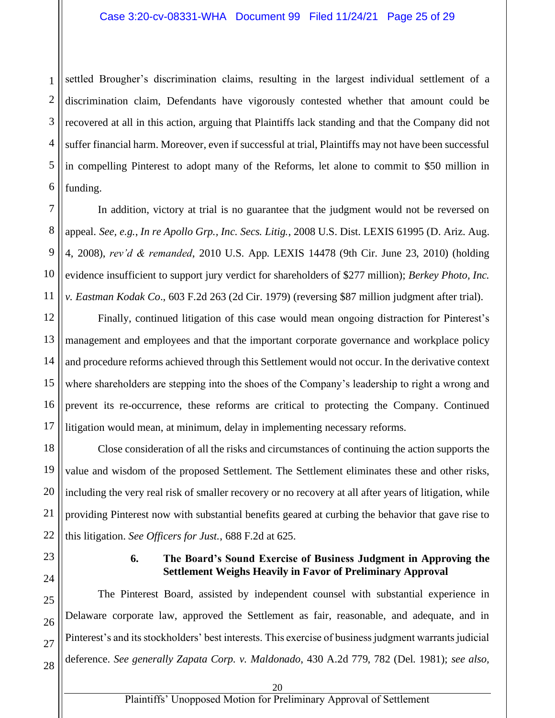1 2 settled Brougher's discrimination claims, resulting in the largest individual settlement of a discrimination claim, Defendants have vigorously contested whether that amount could be recovered at all in this action, arguing that Plaintiffs lack standing and that the Company did not suffer financial harm. Moreover, even if successful at trial, Plaintiffs may not have been successful in compelling Pinterest to adopt many of the Reforms, let alone to commit to \$50 million in funding.

In addition, victory at trial is no guarantee that the judgment would not be reversed on appeal. *See, e.g.*, *In re Apollo Grp., Inc. Secs. Litig.*, 2008 U.S. Dist. LEXIS 61995 (D. Ariz. Aug. 4, 2008), *rev'd & remanded*, 2010 U.S. App. LEXIS 14478 (9th Cir. June 23, 2010) (holding evidence insufficient to support jury verdict for shareholders of \$277 million); *Berkey Photo, Inc. v. Eastman Kodak Co*., 603 F.2d 263 (2d Cir. 1979) (reversing \$87 million judgment after trial).

Finally, continued litigation of this case would mean ongoing distraction for Pinterest's management and employees and that the important corporate governance and workplace policy and procedure reforms achieved through this Settlement would not occur. In the derivative context where shareholders are stepping into the shoes of the Company's leadership to right a wrong and prevent its re-occurrence, these reforms are critical to protecting the Company. Continued litigation would mean, at minimum, delay in implementing necessary reforms.

Close consideration of all the risks and circumstances of continuing the action supports the value and wisdom of the proposed Settlement. The Settlement eliminates these and other risks, including the very real risk of smaller recovery or no recovery at all after years of litigation, while providing Pinterest now with substantial benefits geared at curbing the behavior that gave rise to this litigation. *See Officers for Just.*, 688 F.2d at 625.

#### **6. The Board's Sound Exercise of Business Judgment in Approving the Settlement Weighs Heavily in Favor of Preliminary Approval**

The Pinterest Board, assisted by independent counsel with substantial experience in Delaware corporate law, approved the Settlement as fair, reasonable, and adequate, and in Pinterest's and its stockholders' best interests. This exercise of business judgment warrants judicial deference. *See generally Zapata Corp. v. Maldonado*, 430 A.2d 779, 782 (Del. 1981); *see also,*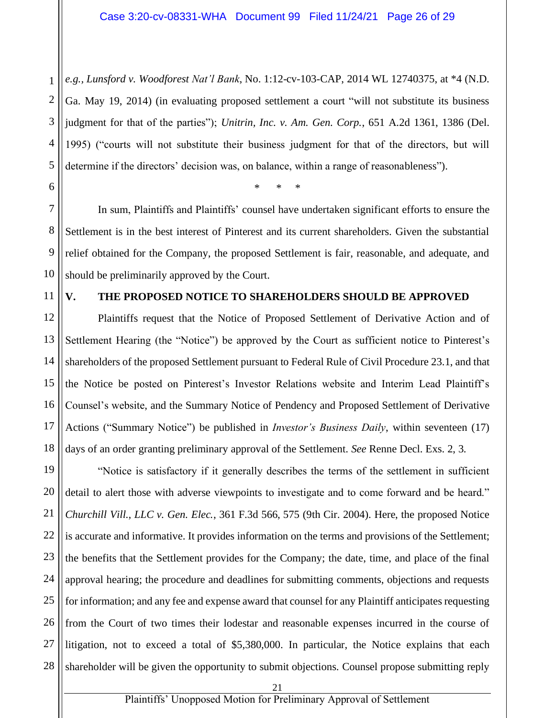1 2 3 4 5 *e.g., Lunsford v. Woodforest Nat'l Bank*, No. 1:12-cv-103-CAP, 2014 WL 12740375, at \*4 (N.D. Ga. May 19, 2014) (in evaluating proposed settlement a court "will not substitute its business judgment for that of the parties"); *Unitrin, Inc. v. Am. Gen. Corp.*, 651 A.2d 1361, 1386 (Del. 1995) ("courts will not substitute their business judgment for that of the directors, but will determine if the directors' decision was, on balance, within a range of reasonableness").

\* \* \*

7 8 9 10 In sum, Plaintiffs and Plaintiffs' counsel have undertaken significant efforts to ensure the Settlement is in the best interest of Pinterest and its current shareholders. Given the substantial relief obtained for the Company, the proposed Settlement is fair, reasonable, and adequate, and should be preliminarily approved by the Court.

#### 11

6

#### **V. THE PROPOSED NOTICE TO SHAREHOLDERS SHOULD BE APPROVED**

12 13 14 15 16 17 18 Plaintiffs request that the Notice of Proposed Settlement of Derivative Action and of Settlement Hearing (the "Notice") be approved by the Court as sufficient notice to Pinterest's shareholders of the proposed Settlement pursuant to Federal Rule of Civil Procedure 23.1, and that the Notice be posted on Pinterest's Investor Relations website and Interim Lead Plaintiff's Counsel's website, and the Summary Notice of Pendency and Proposed Settlement of Derivative Actions ("Summary Notice") be published in *Investor's Business Daily*, within seventeen (17) days of an order granting preliminary approval of the Settlement. *See* Renne Decl. Exs. 2, 3.

19 20 21 22 23 24 25 26 27 28 "Notice is satisfactory if it generally describes the terms of the settlement in sufficient detail to alert those with adverse viewpoints to investigate and to come forward and be heard." *Churchill Vill., LLC v. Gen. Elec.*, 361 F.3d 566, 575 (9th Cir. 2004). Here, the proposed Notice is accurate and informative. It provides information on the terms and provisions of the Settlement; the benefits that the Settlement provides for the Company; the date, time, and place of the final approval hearing; the procedure and deadlines for submitting comments, objections and requests for information; and any fee and expense award that counsel for any Plaintiff anticipates requesting from the Court of two times their lodestar and reasonable expenses incurred in the course of litigation, not to exceed a total of \$5,380,000. In particular, the Notice explains that each shareholder will be given the opportunity to submit objections. Counsel propose submitting reply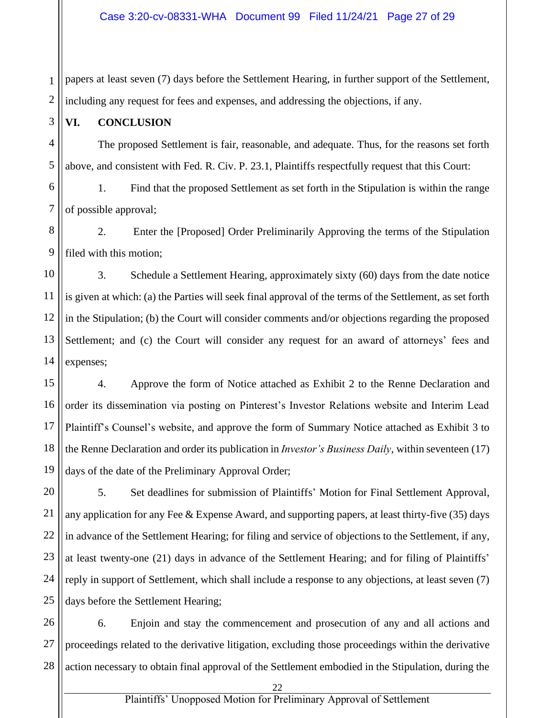1 2 papers at least seven (7) days before the Settlement Hearing, in further support of the Settlement, including any request for fees and expenses, and addressing the objections, if any.

#### **VI. CONCLUSION**

The proposed Settlement is fair, reasonable, and adequate. Thus, for the reasons set forth above, and consistent with Fed. R. Civ. P. 23.1, Plaintiffs respectfully request that this Court:

1. Find that the proposed Settlement as set forth in the Stipulation is within the range of possible approval;

2. Enter the [Proposed] Order Preliminarily Approving the terms of the Stipulation filed with this motion;

3. Schedule a Settlement Hearing, approximately sixty (60) days from the date notice is given at which: (a) the Parties will seek final approval of the terms of the Settlement, as set forth in the Stipulation; (b) the Court will consider comments and/or objections regarding the proposed Settlement; and (c) the Court will consider any request for an award of attorneys' fees and expenses;

4. Approve the form of Notice attached as Exhibit 2 to the Renne Declaration and order its dissemination via posting on Pinterest's Investor Relations website and Interim Lead Plaintiff's Counsel's website, and approve the form of Summary Notice attached as Exhibit 3 to the Renne Declaration and order its publication in *Investor's Business Daily*, within seventeen (17) days of the date of the Preliminary Approval Order;

5. Set deadlines for submission of Plaintiffs' Motion for Final Settlement Approval, any application for any Fee & Expense Award, and supporting papers, at least thirty-five (35) days in advance of the Settlement Hearing; for filing and service of objections to the Settlement, if any, at least twenty-one (21) days in advance of the Settlement Hearing; and for filing of Plaintiffs' reply in support of Settlement, which shall include a response to any objections, at least seven (7) days before the Settlement Hearing;

6. Enjoin and stay the commencement and prosecution of any and all actions and proceedings related to the derivative litigation, excluding those proceedings within the derivative action necessary to obtain final approval of the Settlement embodied in the Stipulation, during the

3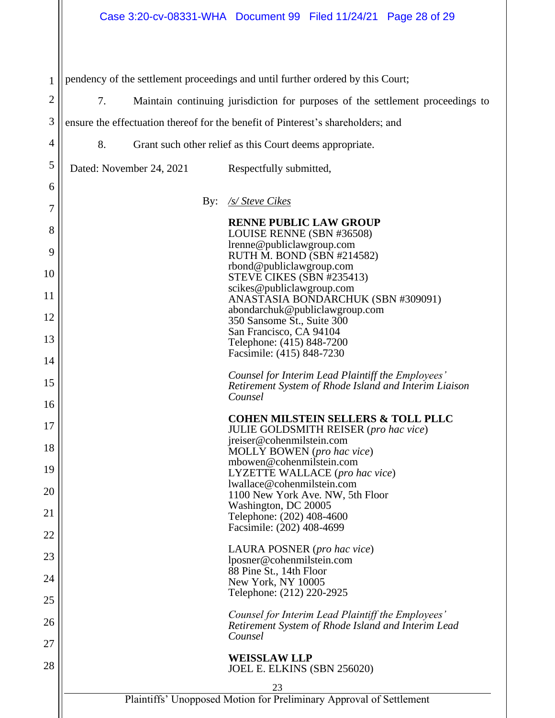| 1              | pendency of the settlement proceedings and until further ordered by this Court;      |                                                          |                                                                                                                    |  |
|----------------|--------------------------------------------------------------------------------------|----------------------------------------------------------|--------------------------------------------------------------------------------------------------------------------|--|
| $\overline{2}$ | 7.<br>Maintain continuing jurisdiction for purposes of the settlement proceedings to |                                                          |                                                                                                                    |  |
| 3              |                                                                                      |                                                          | ensure the effectuation thereof for the benefit of Pinterest's shareholders; and                                   |  |
| 4              | 8.                                                                                   | Grant such other relief as this Court deems appropriate. |                                                                                                                    |  |
| 5              |                                                                                      | Dated: November 24, 2021                                 | Respectfully submitted,                                                                                            |  |
| 6              |                                                                                      |                                                          |                                                                                                                    |  |
| 7              |                                                                                      |                                                          | By: <u>/s/ Steve Cikes</u>                                                                                         |  |
| 8              |                                                                                      |                                                          | <b>RENNE PUBLIC LAW GROUP</b><br>LOUISE RENNE (SBN #36508)<br>lrenne@publiclawgroup.com                            |  |
| 9<br>10        |                                                                                      |                                                          | RUTH M. BOND (SBN #214582)<br>rbond@publiclawgroup.com<br>STEVE CIKES (SBN #235413)                                |  |
| 11             |                                                                                      |                                                          | scikes@publiclawgroup.com<br>ANASTASIA BONDARCHUK (SBN #309091)                                                    |  |
| 12             |                                                                                      |                                                          | abondarchuk@publiclawgroup.com<br>350 Sansome St., Suite 300                                                       |  |
| 13             |                                                                                      |                                                          | San Francisco, CA 94104<br>Telephone: (415) 848-7200                                                               |  |
| 14             |                                                                                      |                                                          | Facsimile: (415) 848-7230                                                                                          |  |
| 15             |                                                                                      |                                                          | Counsel for Interim Lead Plaintiff the Employees'<br>Retirement System of Rhode Island and Interim Liaison         |  |
| 16             |                                                                                      |                                                          | Counsel                                                                                                            |  |
| 17             |                                                                                      |                                                          | <b>COHEN MILSTEIN SELLERS &amp; TOLL PLLC</b><br>JULIE GOLDSMITH REISER (pro hac vice)                             |  |
| 18             |                                                                                      |                                                          | jreiser@cohenmilstein.com<br>MOLLY BOWEN (pro hac vice)                                                            |  |
| 19             |                                                                                      |                                                          | mbowen@cohenmilstein.com<br>LYZETTE WALLACE (pro hac vice)                                                         |  |
| 20             |                                                                                      |                                                          | lwallace@cohenmilstein.com<br>1100 New York Ave. NW, 5th Floor                                                     |  |
| 21             |                                                                                      |                                                          | Washington, DC 20005<br>Telephone: (202) 408-4600                                                                  |  |
| 22             |                                                                                      |                                                          | Facsimile: (202) 408-4699                                                                                          |  |
| 23             |                                                                                      |                                                          | LAURA POSNER (pro hac vice)<br>lposner@cohenmilstein.com                                                           |  |
| 24             |                                                                                      |                                                          | 88 Pine St., 14th Floor<br>New York, NY 10005                                                                      |  |
| 25             |                                                                                      |                                                          | Telephone: (212) 220-2925                                                                                          |  |
| 26             |                                                                                      |                                                          | Counsel for Interim Lead Plaintiff the Employees'<br>Retirement System of Rhode Island and Interim Lead<br>Counsel |  |
| 27             |                                                                                      |                                                          | <b>WEISSLAW LLP</b>                                                                                                |  |
| 28             |                                                                                      |                                                          | JOEL E. ELKINS (SBN 256020)                                                                                        |  |
|                |                                                                                      |                                                          | 23<br>Plaintiffs' Unopposed Motion for Preliminary Approval of Settlement                                          |  |
|                |                                                                                      |                                                          |                                                                                                                    |  |